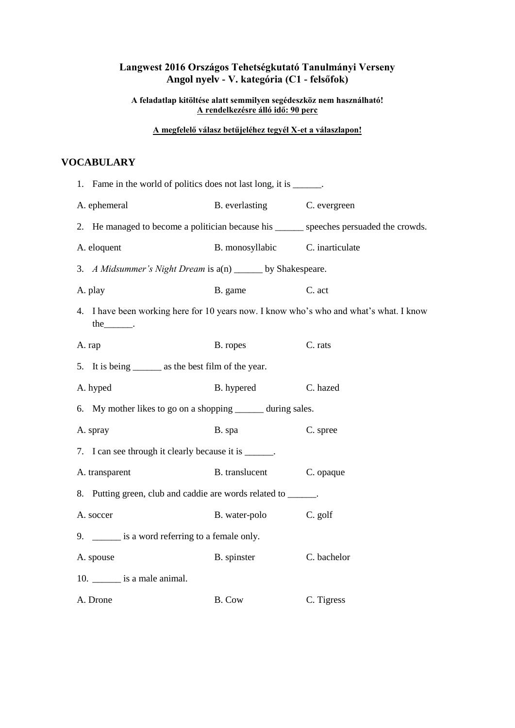## **Langwest 2016 Országos Tehetségkutató Tanulmányi Verseny Angol nyelv - V. kategória (C1 - felsőfok)**

**A feladatlap kitöltése alatt semmilyen segédeszköz nem használható! A rendelkezésre álló idő: 90 perc** 

### **A megfelelő válasz betűjeléhez tegyél X-et a válaszlapon!**

## **VOCABULARY**

| 1. Fame in the world of politics does not last long, it is ______.                                       |                                 |              |  |
|----------------------------------------------------------------------------------------------------------|---------------------------------|--------------|--|
| A. ephemeral                                                                                             | B. everlasting                  | C. evergreen |  |
| 2. He managed to become a politician because his _______ speeches persuaded the crowds.                  |                                 |              |  |
| A. eloquent                                                                                              | B. monosyllabic C. inarticulate |              |  |
| 3. A Midsummer's Night Dream is a(n) ______ by Shakespeare.                                              |                                 |              |  |
| A. play                                                                                                  | B. game                         | C. act       |  |
| 4. I have been working here for 10 years now. I know who's who and what's what. I know<br>the $\qquad$ . |                                 |              |  |
| A. rap                                                                                                   | B. ropes                        | C. rats      |  |
| 5. It is being ________ as the best film of the year.                                                    |                                 |              |  |
| A. hyped                                                                                                 | B. hypered                      | C. hazed     |  |
| 6. My mother likes to go on a shopping _______ during sales.                                             |                                 |              |  |
| A. spray                                                                                                 | B. spa                          | C. spree     |  |
| 7. I can see through it clearly because it is ______.                                                    |                                 |              |  |
| A. transparent                                                                                           | <b>B.</b> translucent           | C. opaque    |  |
| 8. Putting green, club and caddie are words related to ______.                                           |                                 |              |  |
| A. soccer                                                                                                | B. water-polo                   | C. golf      |  |
| 9. _______ is a word referring to a female only.                                                         |                                 |              |  |
| A. spouse                                                                                                | B. spinster                     | C. bachelor  |  |
| 10. $\frac{\ }{2}$ is a male animal.                                                                     |                                 |              |  |
| A. Drone                                                                                                 | B. Cow                          | C. Tigress   |  |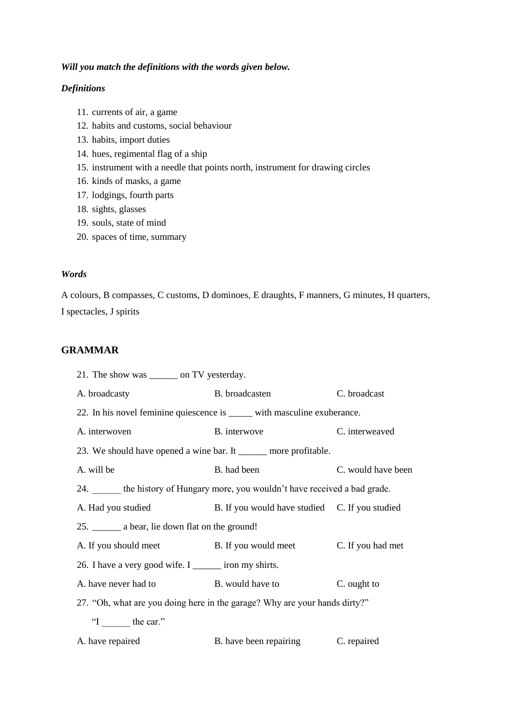### *Will you match the definitions with the words given below.*

### *Definitions*

- 11. currents of air, a game
- 12. habits and customs, social behaviour
- 13. habits, import duties
- 14. hues, regimental flag of a ship
- 15. instrument with a needle that points north, instrument for drawing circles
- 16. kinds of masks, a game
- 17. lodgings, fourth parts
- 18. sights, glasses
- 19. souls, state of mind
- 20. spaces of time, summary

#### *Words*

A colours, B compasses, C customs, D dominoes, E draughts, F manners, G minutes, H quarters, I spectacles, J spirits

## **GRAMMAR**

| 21. The show was ________ on TV yesterday.                                     |                                                |                    |
|--------------------------------------------------------------------------------|------------------------------------------------|--------------------|
| A. broadcasty                                                                  | B. broadcasten                                 | C. broadcast       |
| 22. In his novel feminine quiescence is ______ with masculine exuberance.      |                                                |                    |
| A. interwoven                                                                  | B. interwove                                   | C. interweaved     |
| 23. We should have opened a wine bar. It ______ more profitable.               |                                                |                    |
| A. will be                                                                     | B. had been                                    | C. would have been |
| 24. _____ the history of Hungary more, you wouldn't have received a bad grade. |                                                |                    |
| A. Had you studied                                                             | B. If you would have studied C. If you studied |                    |
| 25. _________ a bear, lie down flat on the ground!                             |                                                |                    |
| A. If you should meet B. If you would meet                                     |                                                | C. If you had met  |
| 26. I have a very good wife. I _______ iron my shirts.                         |                                                |                    |
| A. have never had to                                                           | <b>B</b> . would have to                       | C. ought to        |
| 27. "Oh, what are you doing here in the garage? Why are your hands dirty?"     |                                                |                    |
| "I the car."                                                                   |                                                |                    |
| A. have repaired                                                               | B. have been repairing                         | C. repaired        |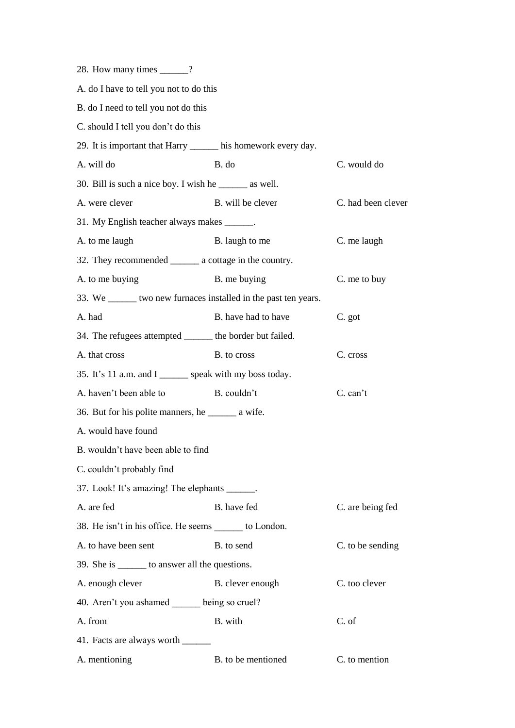| 28. How many times ______?                                       |                     |                    |
|------------------------------------------------------------------|---------------------|--------------------|
| A. do I have to tell you not to do this                          |                     |                    |
| B. do I need to tell you not do this                             |                     |                    |
| C. should I tell you don't do this                               |                     |                    |
| 29. It is important that Harry ______ his homework every day.    |                     |                    |
| A. will do                                                       | B. do               | C. would do        |
| 30. Bill is such a nice boy. I wish he _______ as well.          |                     |                    |
| A. were clever                                                   | B. will be clever   | C. had been clever |
| 31. My English teacher always makes ______.                      |                     |                    |
| A. to me laugh                                                   | B. laugh to me      | C. me laugh        |
| 32. They recommended _________ a cottage in the country.         |                     |                    |
| A. to me buying                                                  | B. me buying        | C. me to buy       |
| 33. We _______ two new furnaces installed in the past ten years. |                     |                    |
| A. had                                                           | B. have had to have | C. got             |
| 34. The refugees attempted ______ the border but failed.         |                     |                    |
| A. that cross                                                    | B. to cross         | C. cross           |
| 35. It's 11 a.m. and I ______ speak with my boss today.          |                     |                    |
| A. haven't been able to                                          | B. couldn't         | C. can't           |
| 36. But for his polite manners, he ________ a wife.              |                     |                    |
| A. would have found                                              |                     |                    |
| B. wouldn't have been able to find                               |                     |                    |
| C. couldn't probably find                                        |                     |                    |
| 37. Look! It's amazing! The elephants ______.                    |                     |                    |
| A. are fed                                                       | B. have fed         | C. are being fed   |
| 38. He isn't in his office. He seems _______ to London.          |                     |                    |
| A. to have been sent                                             | B. to send          | C. to be sending   |
| 39. She is _______ to answer all the questions.                  |                     |                    |
| A. enough clever                                                 | B. clever enough    | C. too clever      |
| 40. Aren't you ashamed being so cruel?                           |                     |                    |
| A. from                                                          | B. with             | C. of              |
| 41. Facts are always worth ______                                |                     |                    |
| A. mentioning                                                    | B. to be mentioned  | C. to mention      |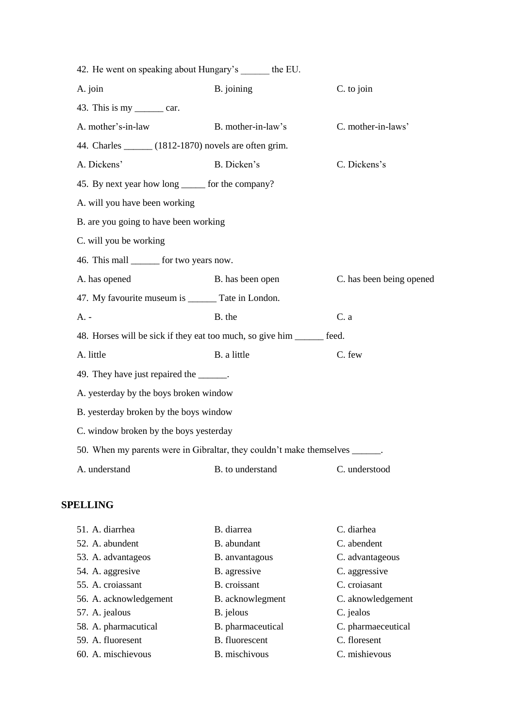| 42. He went on speaking about Hungary's ______ the EU.                       |                    |                          |
|------------------------------------------------------------------------------|--------------------|--------------------------|
| A. join                                                                      | B. joining         | C. to join               |
| 43. This is my $\_\_\_\_\_\_\.\$                                             |                    |                          |
| A. mother's-in-law                                                           | B. mother-in-law's | C. mother-in-laws'       |
| 44. Charles ______ (1812-1870) novels are often grim.                        |                    |                          |
| A. Dickens'                                                                  | B. Dicken's        | C. Dickens's             |
| 45. By next year how long ______ for the company?                            |                    |                          |
| A. will you have been working                                                |                    |                          |
| B. are you going to have been working                                        |                    |                          |
| C. will you be working                                                       |                    |                          |
| 46. This mall _______ for two years now.                                     |                    |                          |
| A. has opened                                                                | B. has been open   | C. has been being opened |
| 47. My favourite museum is _______ Tate in London.                           |                    |                          |
| $A. -$                                                                       | B. the             | C. a                     |
| 48. Horses will be sick if they eat too much, so give him ______ feed.       |                    |                          |
| A. little                                                                    | B. a little        | C. few                   |
| 49. They have just repaired the ______.                                      |                    |                          |
| A. yesterday by the boys broken window                                       |                    |                          |
| B. yesterday broken by the boys window                                       |                    |                          |
| C. window broken by the boys yesterday                                       |                    |                          |
| 50. When my parents were in Gibraltar, they couldn't make themselves ______. |                    |                          |
| A. understand                                                                | B. to understand   | C. understood            |
|                                                                              |                    |                          |

## **SPELLING**

| 51. A. diarrhea        | B. diarrea        | C. diarhea         |
|------------------------|-------------------|--------------------|
| 52. A. abundent        | B. abundant       | C. abendent        |
| 53. A. advantageos     | B. anvantagous    | C. advantageous    |
| 54. A. aggresive       | B. agressive      | C. aggressive      |
| 55. A. croiassant      | B. croissant      | C. croiasant       |
| 56. A. acknowledgement | B. acknowlegment  | C. aknowledgement  |
| 57. A. jealous         | B. jelous         | C. jealos          |
| 58. A. pharmacutical   | B. pharmaceutical | C. pharmaeceutical |
| 59. A. fluoresent      | B. fluorescent    | C. floresent       |
| 60. A. mischievous     | B. mischivous     | C. mishievous      |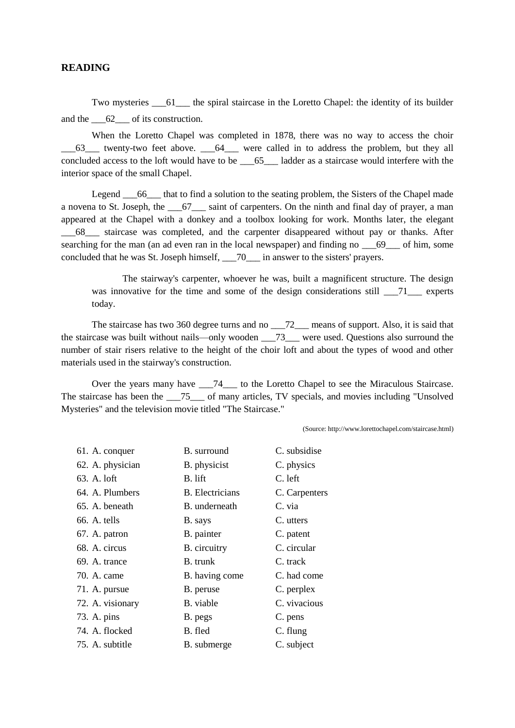### **READING**

Two mysteries  $\overline{61}$  the spiral staircase in the Loretto Chapel: the identity of its builder and the  $\overline{62}$  of its construction.

When the Loretto Chapel was completed in 1878, there was no way to access the choir \_\_\_63\_\_\_ twenty-two feet above. \_\_\_64\_\_\_ were called in to address the problem, but they all concluded access to the loft would have to be \_\_\_65\_\_\_ ladder as a staircase would interfere with the interior space of the small Chapel.

Legend  $\overline{66}$  that to find a solution to the seating problem, the Sisters of the Chapel made a novena to St. Joseph, the \_\_\_67\_\_\_ saint of carpenters. On the ninth and final day of prayer, a man appeared at the Chapel with a donkey and a toolbox looking for work. Months later, the elegant \_\_\_68\_\_\_ staircase was completed, and the carpenter disappeared without pay or thanks. After searching for the man (an ad even ran in the local newspaper) and finding no  $\qquad 69$  of him, some concluded that he was St. Joseph himself, \_\_\_70\_\_\_ in answer to the sisters' prayers.

The stairway's carpenter, whoever he was, built a magnificent structure. The design was innovative for the time and some of the design considerations still  $\overline{71}$  experts today.

The staircase has two 360 degree turns and no \_\_\_72\_\_\_ means of support. Also, it is said that the staircase was built without nails—only wooden  $\qquad$  73 were used. Questions also surround the number of stair risers relative to the height of the choir loft and about the types of wood and other materials used in the stairway's construction.

Over the years many have \_\_\_74\_\_\_ to the Loretto Chapel to see the Miraculous Staircase. The staircase has been the \_\_\_75\_\_\_ of many articles, TV specials, and movies including "Unsolved Mysteries" and the television movie titled "The Staircase."

(Source: http://www.lorettochapel.com/staircase.html)

| 61. A. conquer   | B. surround            | C. subsidise  |
|------------------|------------------------|---------------|
| 62. A. physician | B. physicist           | C. physics    |
| 63. A. loft      | B. lift                | C. left       |
| 64. A. Plumbers  | <b>B.</b> Electricians | C. Carpenters |
| 65. A. beneath   | B. underneath          | C. via        |
| 66. A. tells     | B. says                | C. utters     |
| 67. A. patron    | B. painter             | C. patent     |
| 68. A. circus    | B. circuitry           | C. circular   |
| 69. A. trance    | <b>B.</b> trunk        | C. track      |
| 70. A. came      | B. having come         | C. had come   |
| 71. A. pursue    | B. peruse              | C. perplex    |
| 72. A. visionary | B. viable              | C. vivacious  |
| 73. A. pins      | B. pegs                | C. pens       |
| 74. A. flocked   | B. fled                | C. flung      |
| 75. A. subtitle  | B. submerge            | C. subject    |
|                  |                        |               |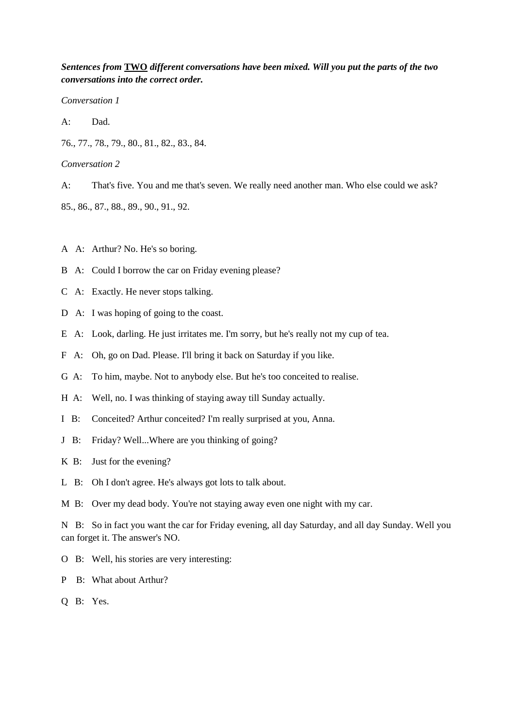## *Sentences from* **TWO** *different conversations have been mixed. Will you put the parts of the two conversations into the correct order.*

*Conversation 1*

A: Dad.

76., 77., 78., 79., 80., 81., 82., 83., 84.

*Conversation 2*

A: That's five. You and me that's seven. We really need another man. Who else could we ask?

85., 86., 87., 88., 89., 90., 91., 92.

- A A: Arthur? No. He's so boring.
- B A: Could I borrow the car on Friday evening please?
- C A: Exactly. He never stops talking.
- D A: I was hoping of going to the coast.
- E A: Look, darling. He just irritates me. I'm sorry, but he's really not my cup of tea.
- F A: Oh, go on Dad. Please. I'll bring it back on Saturday if you like.
- G A: To him, maybe. Not to anybody else. But he's too conceited to realise.
- H A: Well, no. I was thinking of staying away till Sunday actually.
- I B: Conceited? Arthur conceited? I'm really surprised at you, Anna.
- J B: Friday? Well...Where are you thinking of going?
- K B: Just for the evening?
- L B: Oh I don't agree. He's always got lots to talk about.

M B: Over my dead body. You're not staying away even one night with my car.

N B: So in fact you want the car for Friday evening, all day Saturday, and all day Sunday. Well you can forget it. The answer's NO.

- O B: Well, his stories are very interesting:
- P B: What about Arthur?
- Q B: Yes.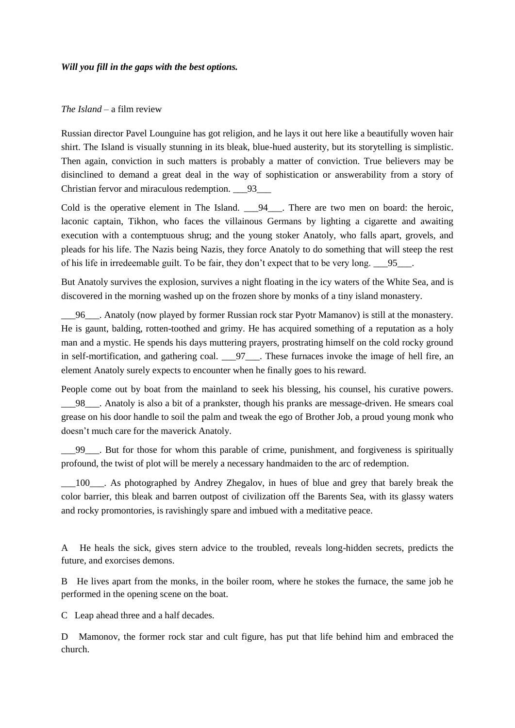#### *Will you fill in the gaps with the best options.*

### *The Island* – a film review

Russian director Pavel Lounguine has got religion, and he lays it out here like a beautifully woven hair shirt. The Island is visually stunning in its bleak, blue-hued austerity, but its storytelling is simplistic. Then again, conviction in such matters is probably a matter of conviction. True believers may be disinclined to demand a great deal in the way of sophistication or answerability from a story of Christian fervor and miraculous redemption. \_\_\_93\_\_\_

Cold is the operative element in The Island.  $94$ . There are two men on board: the heroic, laconic captain, Tikhon, who faces the villainous Germans by lighting a cigarette and awaiting execution with a contemptuous shrug; and the young stoker Anatoly, who falls apart, grovels, and pleads for his life. The Nazis being Nazis, they force Anatoly to do something that will steep the rest of his life in irredeemable guilt. To be fair, they don't expect that to be very long. \_\_\_95\_\_\_.

But Anatoly survives the explosion, survives a night floating in the icy waters of the White Sea, and is discovered in the morning washed up on the frozen shore by monks of a tiny island monastery.

\_\_\_96\_\_\_. Anatoly (now played by former Russian rock star Pyotr Mamanov) is still at the monastery. He is gaunt, balding, rotten-toothed and grimy. He has acquired something of a reputation as a holy man and a mystic. He spends his days muttering prayers, prostrating himself on the cold rocky ground in self-mortification, and gathering coal.  $\qquad$  97  $\qquad$ . These furnaces invoke the image of hell fire, an element Anatoly surely expects to encounter when he finally goes to his reward.

People come out by boat from the mainland to seek his blessing, his counsel, his curative powers. \_\_\_98\_\_\_. Anatoly is also a bit of a prankster, though his pranks are message-driven. He smears coal grease on his door handle to soil the palm and tweak the ego of Brother Job, a proud young monk who doesn't much care for the maverick Anatoly.

\_\_\_99\_\_\_. But for those for whom this parable of crime, punishment, and forgiveness is spiritually profound, the twist of plot will be merely a necessary handmaiden to the arc of redemption.

\_\_\_100\_\_\_. As photographed by Andrey Zhegalov, in hues of blue and grey that barely break the color barrier, this bleak and barren outpost of civilization off the Barents Sea, with its glassy waters and rocky promontories, is ravishingly spare and imbued with a meditative peace.

A He heals the sick, gives stern advice to the troubled, reveals long-hidden secrets, predicts the future, and exorcises demons.

B He lives apart from the monks, in the boiler room, where he stokes the furnace, the same job he performed in the opening scene on the boat.

C Leap ahead three and a half decades.

D Mamonov, the former rock star and cult figure, has put that life behind him and embraced the church.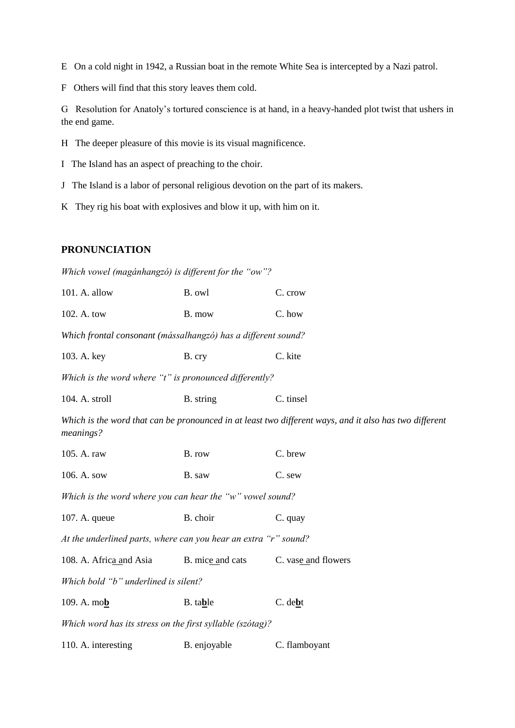E On a cold night in 1942, a Russian boat in the remote White Sea is intercepted by a Nazi patrol.

F Others will find that this story leaves them cold.

G Resolution for Anatoly's tortured conscience is at hand, in a heavy-handed plot twist that ushers in the end game.

- H The deeper pleasure of this movie is its visual magnificence.
- I The Island has an aspect of preaching to the choir.
- J The Island is a labor of personal religious devotion on the part of its makers.
- K They rig his boat with explosives and blow it up, with him on it.

### **PRONUNCIATION**

*Which vowel (magánhangzó) is different for the "ow"?*

| $101.$ A. allow                                               | B. owl | C. crow |
|---------------------------------------------------------------|--------|---------|
| 102. A. tow                                                   | B. mow | C. how  |
| Which frontal consonant (mássalhangzó) has a different sound? |        |         |

103. A. key B. cry C. kite

*Which is the word where "t" is pronounced differently?*

104. A. stroll B. string C. tinsel

*Which is the word that can be pronounced in at least two different ways, and it also has two different meanings?*

| 105. A. raw                                               | B. row | C. brew |
|-----------------------------------------------------------|--------|---------|
| $106.$ A. sow                                             | B. saw | C. sew  |
| Which is the word where you can hear the "w" vowel sound? |        |         |

107. A. queue B. choir C. quay

*At the underlined parts, where can you hear an extra "r" sound?*

108. A. Africa and Asia B. mice and cats C. vase and flowers

*Which bold "b" underlined is silent?*

| 109. A. mo <b>b</b> | B. table | C. de <b>b</b> t |
|---------------------|----------|------------------|
|                     |          |                  |

*Which word has its stress on the first syllable (szótag)?*

110. A. interesting B. enjoyable C. flamboyant